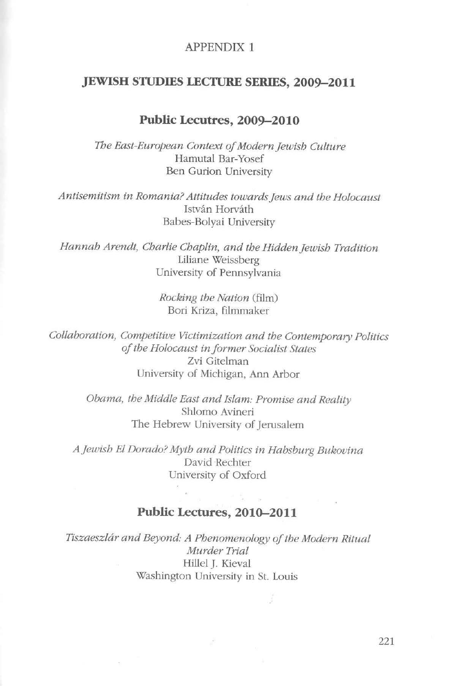## APPENDIX 1

## **JEWISH STUDIES LECTURE SERIES, 2009-2011**

## **Public Lecutres, 2009-2010**

*The East-European Context of Modernjewish Culture*  Hamutal Bar-Yosef Ben Gurion University

*Antisemitism in Romania? Attitudes towardsjews and the Holocaust*  István Horváth Babes-Bolyai University

*Hannah Arendt, Charlie Chaplin, and the Hiddenjewish Tradition*  Liliane Weissberg University of Pennsylvania

> *Rocking the Nation* (film) Bori Kriza, filmmaker

*Collaboration, Competitive Victimization and the Contemporary Politics of the Holocaust in farmer Socialist States*  Zvi Gitelman University of Michigan, Ann Arbor

> *Obama, the Middle East and Jslam: Promise and Reality*  Shlomo Avineri The Hebrew University of Jerusalem

*Ajewish El Dorado? Myth and Politics in Habsburg Bukovina*  David Rechter University of Oxford

## **Public Lectures, 2010-2011**

*Tiszaeszlár and Beyond: A Phenomenology of the Modern Ritual Murder Trial*  Hillel J. Kieval Washington University in St. Louis

 $\ddot{\cdot}$ 

221